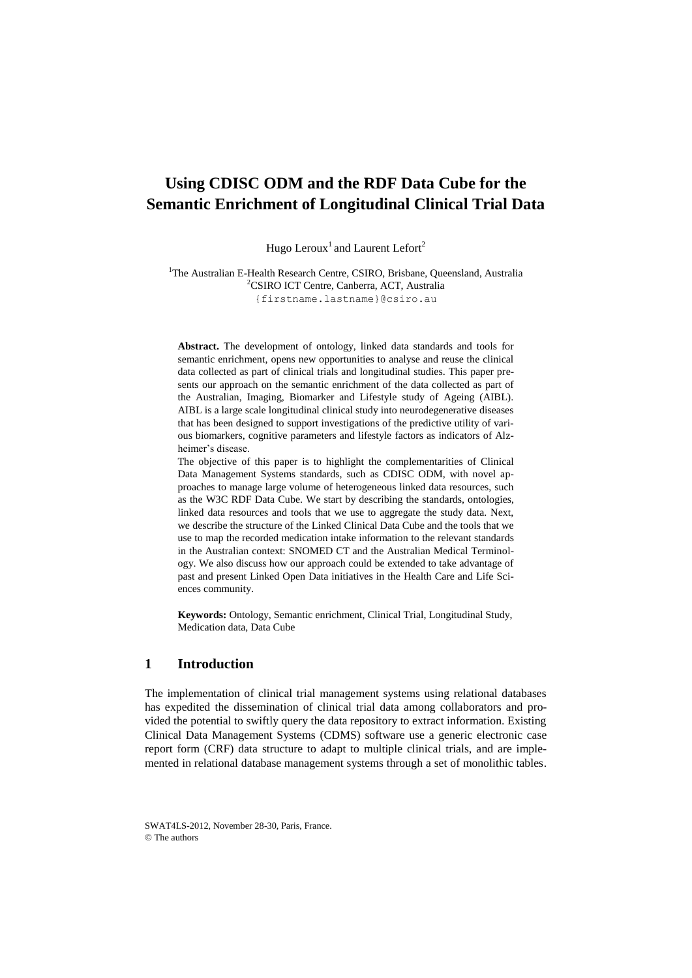# **Using CDISC ODM and the RDF Data Cube for the Semantic Enrichment of Longitudinal Clinical Trial Data**

Hugo Leroux<sup>1</sup> and Laurent Lefort<sup>2</sup>

<sup>1</sup>The Australian E-Health Research Centre, CSIRO, Brisbane, Queensland, Australia <sup>2</sup>CSIRO ICT Centre, Canberra, ACT, Australia [{firstname.lastname}@csiro.au](mailto:%7bfirstname.lastname%7d@csiro.au)

**Abstract.** The development of ontology, linked data standards and tools for semantic enrichment, opens new opportunities to analyse and reuse the clinical data collected as part of clinical trials and longitudinal studies. This paper presents our approach on the semantic enrichment of the data collected as part of the Australian, Imaging, Biomarker and Lifestyle study of Ageing (AIBL). AIBL is a large scale longitudinal clinical study into neurodegenerative diseases that has been designed to support investigations of the predictive utility of various biomarkers, cognitive parameters and lifestyle factors as indicators of Alzheimer's disease.

The objective of this paper is to highlight the complementarities of Clinical Data Management Systems standards, such as CDISC ODM, with novel approaches to manage large volume of heterogeneous linked data resources, such as the W3C RDF Data Cube. We start by describing the standards, ontologies, linked data resources and tools that we use to aggregate the study data. Next, we describe the structure of the Linked Clinical Data Cube and the tools that we use to map the recorded medication intake information to the relevant standards in the Australian context: SNOMED CT and the Australian Medical Terminology. We also discuss how our approach could be extended to take advantage of past and present Linked Open Data initiatives in the Health Care and Life Sciences community.

**Keywords:** Ontology, Semantic enrichment, Clinical Trial, Longitudinal Study, Medication data, Data Cube

### **1 Introduction**

The implementation of clinical trial management systems using relational databases has expedited the dissemination of clinical trial data among collaborators and provided the potential to swiftly query the data repository to extract information. Existing Clinical Data Management Systems (CDMS) software use a generic electronic case report form (CRF) data structure to adapt to multiple clinical trials, and are implemented in relational database management systems through a set of monolithic tables.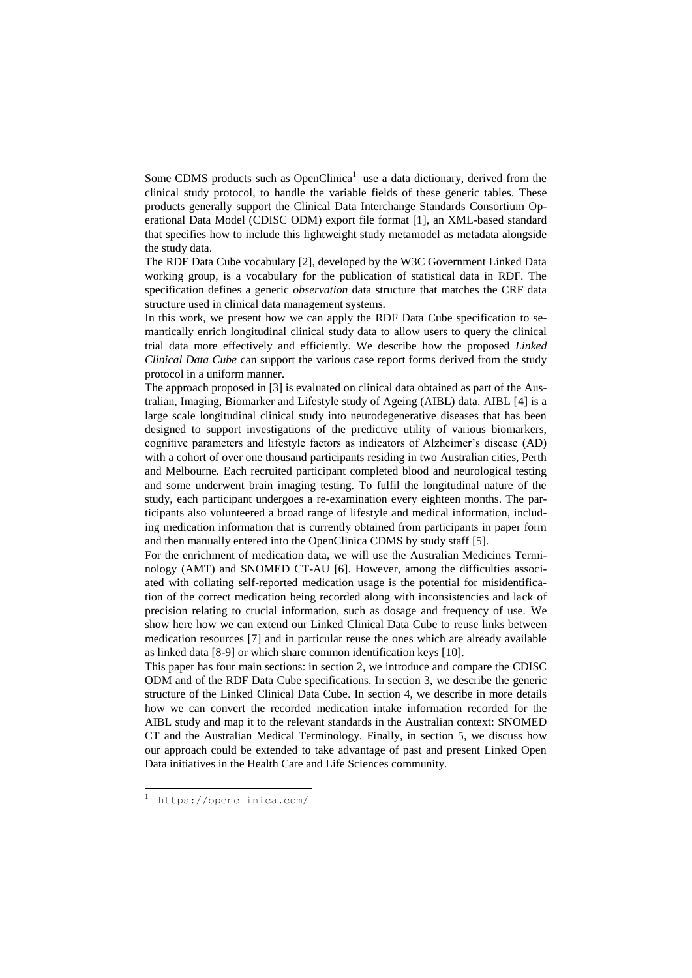Some CDMS products such as  $OpenChina<sup>1</sup>$  use a data dictionary, derived from the clinical study protocol, to handle the variable fields of these generic tables. These products generally support the Clinical Data Interchange Standards Consortium Operational Data Model (CDISC ODM) export file format [1], an XML-based standard that specifies how to include this lightweight study metamodel as metadata alongside the study data.

The RDF Data Cube vocabulary [2], developed by the W3C Government Linked Data working group, is a vocabulary for the publication of statistical data in RDF. The specification defines a generic *observation* data structure that matches the CRF data structure used in clinical data management systems.

In this work, we present how we can apply the RDF Data Cube specification to semantically enrich longitudinal clinical study data to allow users to query the clinical trial data more effectively and efficiently. We describe how the proposed *Linked Clinical Data Cube* can support the various case report forms derived from the study protocol in a uniform manner.

The approach proposed in [3] is evaluated on clinical data obtained as part of the Australian, Imaging, Biomarker and Lifestyle study of Ageing (AIBL) data. AIBL [4] is a large scale longitudinal clinical study into neurodegenerative diseases that has been designed to support investigations of the predictive utility of various biomarkers, cognitive parameters and lifestyle factors as indicators of Alzheimer's disease (AD) with a cohort of over one thousand participants residing in two Australian cities, Perth and Melbourne. Each recruited participant completed blood and neurological testing and some underwent brain imaging testing. To fulfil the longitudinal nature of the study, each participant undergoes a re-examination every eighteen months. The participants also volunteered a broad range of lifestyle and medical information, including medication information that is currently obtained from participants in paper form and then manually entered into the OpenClinica CDMS by study staff [5].

For the enrichment of medication data, we will use the Australian Medicines Terminology (AMT) and SNOMED CT-AU [6]. However, among the difficulties associated with collating self-reported medication usage is the potential for misidentification of the correct medication being recorded along with inconsistencies and lack of precision relating to crucial information, such as dosage and frequency of use. We show here how we can extend our Linked Clinical Data Cube to reuse links between medication resources [7] and in particular reuse the ones which are already available as linked data [8-9] or which share common identification keys [10].

This paper has four main sections: in section 2, we introduce and compare the CDISC ODM and of the RDF Data Cube specifications. In section 3, we describe the generic structure of the Linked Clinical Data Cube. In section 4, we describe in more details how we can convert the recorded medication intake information recorded for the AIBL study and map it to the relevant standards in the Australian context: SNOMED CT and the Australian Medical Terminology. Finally, in section 5, we discuss how our approach could be extended to take advantage of past and present Linked Open Data initiatives in the Health Care and Life Sciences community.

 $\overline{\phantom{a}}$ 

<sup>1</sup> https://openclinica.com/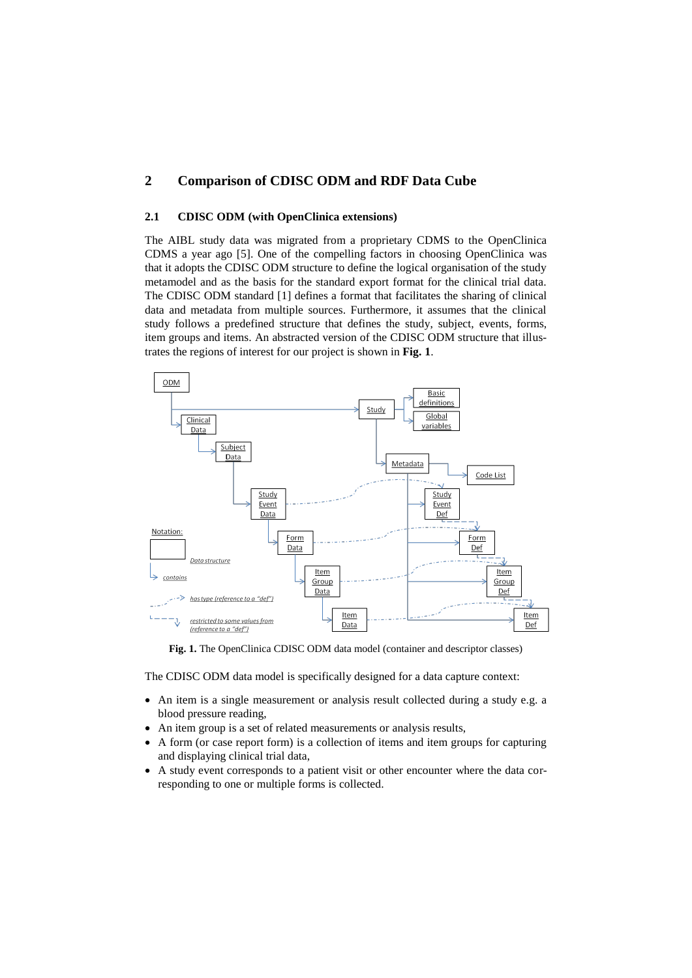# **2 Comparison of CDISC ODM and RDF Data Cube**

### **2.1 CDISC ODM (with OpenClinica extensions)**

The AIBL study data was migrated from a proprietary CDMS to the OpenClinica CDMS a year ago [5]. One of the compelling factors in choosing OpenClinica was that it adopts the CDISC ODM structure to define the logical organisation of the study metamodel and as the basis for the standard export format for the clinical trial data. The CDISC ODM standard [1] defines a format that facilitates the sharing of clinical data and metadata from multiple sources. Furthermore, it assumes that the clinical study follows a predefined structure that defines the study, subject, events, forms, item groups and items. An abstracted version of the CDISC ODM structure that illustrates the regions of interest for our project is shown in **[Fig. 1](#page-2-0)**.



<span id="page-2-0"></span>**Fig. 1.** The OpenClinica CDISC ODM data model (container and descriptor classes)

The CDISC ODM data model is specifically designed for a data capture context:

- An item is a single measurement or analysis result collected during a study e.g. a blood pressure reading,
- An item group is a set of related measurements or analysis results,
- A form (or case report form) is a collection of items and item groups for capturing and displaying clinical trial data,
- A study event corresponds to a patient visit or other encounter where the data corresponding to one or multiple forms is collected.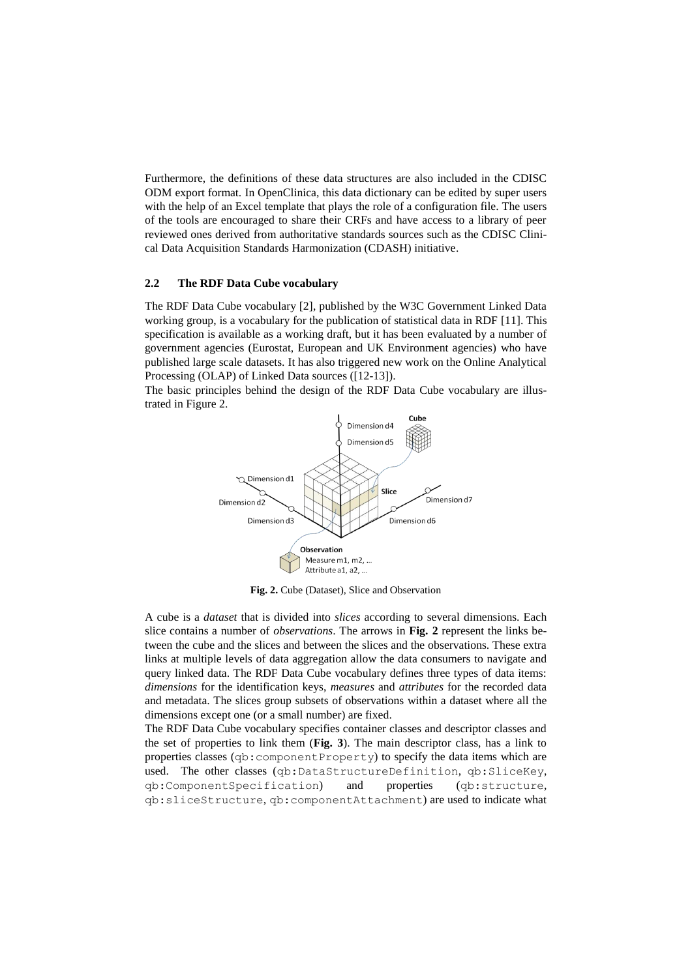Furthermore, the definitions of these data structures are also included in the CDISC ODM export format. In OpenClinica, this data dictionary can be edited by super users with the help of an Excel template that plays the role of a configuration file. The users of the tools are encouraged to share their CRFs and have access to a library of peer reviewed ones derived from authoritative standards sources such as the CDISC Clinical Data Acquisition Standards Harmonization (CDASH) initiative.

#### **2.2 The RDF Data Cube vocabulary**

The RDF Data Cube vocabulary [2], published by the W3C Government Linked Data working group, is a vocabulary for the publication of statistical data in RDF [11]. This specification is available as a working draft, but it has been evaluated by a number of government agencies (Eurostat, European and UK Environment agencies) who have published large scale datasets. It has also triggered new work on the Online Analytical Processing (OLAP) of Linked Data sources ([12-13]).

The basic principles behind the design of the RDF Data Cube vocabulary are illustrated in Figure 2.



**Fig. 2.** Cube (Dataset), Slice and Observation

<span id="page-3-0"></span>A cube is a *dataset* that is divided into *slices* according to several dimensions. Each slice contains a number of *observations*. The arrows in **[Fig. 2](#page-3-0)** represent the links between the cube and the slices and between the slices and the observations. These extra links at multiple levels of data aggregation allow the data consumers to navigate and query linked data. The RDF Data Cube vocabulary defines three types of data items: *dimensions* for the identification keys, *measures* and *attributes* for the recorded data and metadata. The slices group subsets of observations within a dataset where all the dimensions except one (or a small number) are fixed.

The RDF Data Cube vocabulary specifies container classes and descriptor classes and the set of properties to link them (**[Fig. 3](#page-4-0)**). The main descriptor class, has a link to properties classes (qb:componentProperty) to specify the data items which are used. The other classes (qb:DataStructureDefinition, qb:SliceKey, qb:ComponentSpecification) and properties (qb:structure, qb:sliceStructure, qb:componentAttachment) are used to indicate what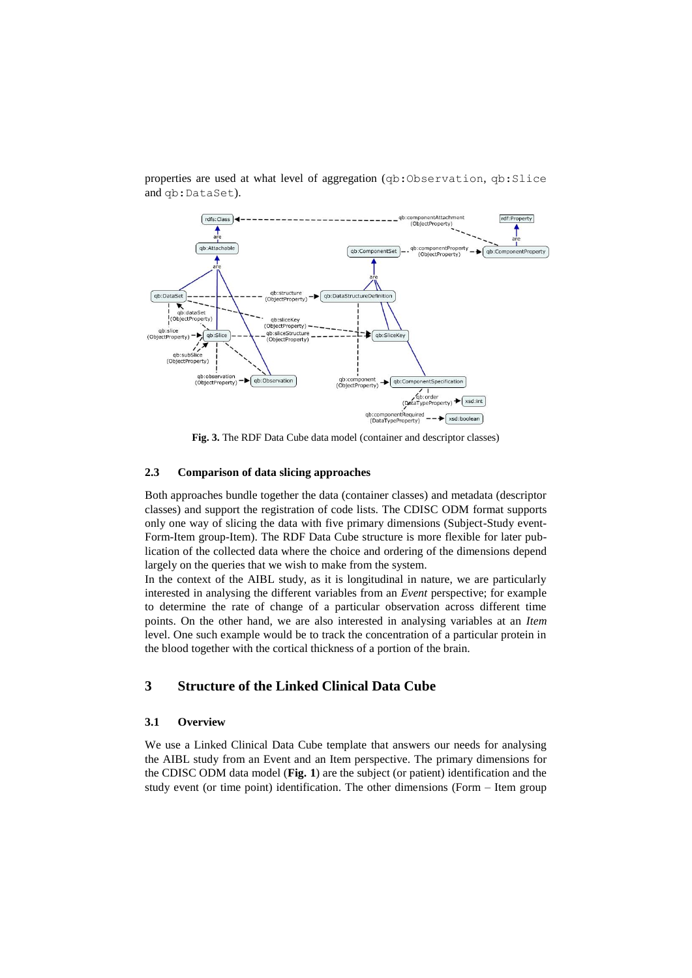

properties are used at what level of aggregation (qb:Observation, qb:Slice and qb:DataSet).

**Fig. 3.** The RDF Data Cube data model (container and descriptor classes)

#### <span id="page-4-0"></span>**2.3 Comparison of data slicing approaches**

Both approaches bundle together the data (container classes) and metadata (descriptor classes) and support the registration of code lists. The CDISC ODM format supports only one way of slicing the data with five primary dimensions (Subject-Study event-Form-Item group-Item). The RDF Data Cube structure is more flexible for later publication of the collected data where the choice and ordering of the dimensions depend largely on the queries that we wish to make from the system.

In the context of the AIBL study, as it is longitudinal in nature, we are particularly interested in analysing the different variables from an *Event* perspective; for example to determine the rate of change of a particular observation across different time points. On the other hand, we are also interested in analysing variables at an *Item* level. One such example would be to track the concentration of a particular protein in the blood together with the cortical thickness of a portion of the brain.

## **3 Structure of the Linked Clinical Data Cube**

#### **3.1 Overview**

We use a Linked Clinical Data Cube template that answers our needs for analysing the AIBL study from an Event and an Item perspective. The primary dimensions for the CDISC ODM data model (**[Fig. 1](#page-2-0)**) are the subject (or patient) identification and the study event (or time point) identification. The other dimensions (Form – Item group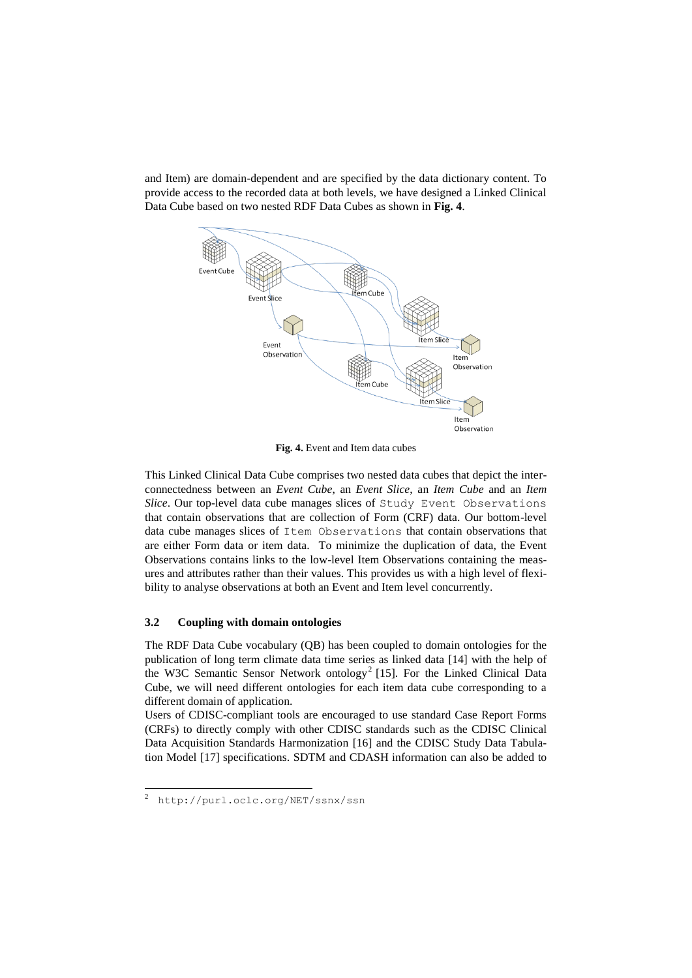and Item) are domain-dependent and are specified by the data dictionary content. To provide access to the recorded data at both levels, we have designed a Linked Clinical Data Cube based on two nested RDF Data Cubes as shown in **[Fig. 4](#page-5-0)**.



**Fig. 4.** Event and Item data cubes

<span id="page-5-0"></span>This Linked Clinical Data Cube comprises two nested data cubes that depict the interconnectedness between an *Event Cube*, an *Event Slice*, an *Item Cube* and an *Item Slice*. Our top-level data cube manages slices of Study Event Observations that contain observations that are collection of Form (CRF) data. Our bottom-level data cube manages slices of Item Observations that contain observations that are either Form data or item data. To minimize the duplication of data, the Event Observations contains links to the low-level Item Observations containing the measures and attributes rather than their values. This provides us with a high level of flexibility to analyse observations at both an Event and Item level concurrently.

### **3.2 Coupling with domain ontologies**

The RDF Data Cube vocabulary (QB) has been coupled to domain ontologies for the publication of long term climate data time series as linked data [14] with the help of the W3C Semantic Sensor Network ontology<sup>2</sup> [15]. For the Linked Clinical Data Cube, we will need different ontologies for each item data cube corresponding to a different domain of application.

Users of CDISC-compliant tools are encouraged to use standard Case Report Forms (CRFs) to directly comply with other CDISC standards such as the CDISC Clinical Data Acquisition Standards Harmonization [16] and the CDISC Study Data Tabulation Model [17] specifications. SDTM and CDASH information can also be added to

 $\overline{\phantom{a}}$ 

<sup>&</sup>lt;sup>2</sup> http://purl.oclc.org/NET/ssnx/ssn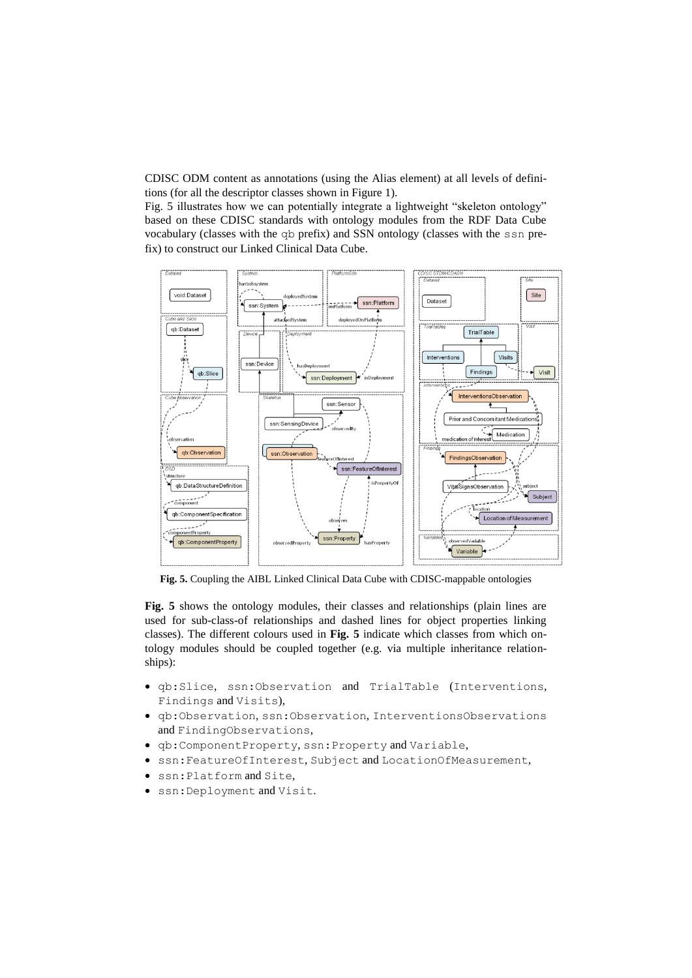CDISC ODM content as annotations (using the Alias element) at all levels of definitions (for all the descriptor classes shown in Figure 1).

[Fig. 5](#page-6-0) illustrates how we can potentially integrate a lightweight "skeleton ontology" based on these CDISC standards with ontology modules from the RDF Data Cube vocabulary (classes with the qb prefix) and SSN ontology (classes with the ssn prefix) to construct our Linked Clinical Data Cube.



<span id="page-6-0"></span>**Fig. 5.** Coupling the AIBL Linked Clinical Data Cube with CDISC-mappable ontologies

**[Fig. 5](#page-6-0)** shows the ontology modules, their classes and relationships (plain lines are used for sub-class-of relationships and dashed lines for object properties linking classes). The different colours used in **[Fig. 5](#page-6-0)** indicate which classes from which ontology modules should be coupled together (e.g. via multiple inheritance relationships):

- qb:Slice, ssn:Observation and TrialTable (Interventions, Findings and Visits),
- qb:Observation, ssn:Observation, InterventionsObservations and FindingObservations,
- qb:ComponentProperty, ssn:Property and Variable,
- ssn:FeatureOfInterest, Subject and LocationOfMeasurement,
- ssn:Platform and Site,
- ssn:Deployment and Visit.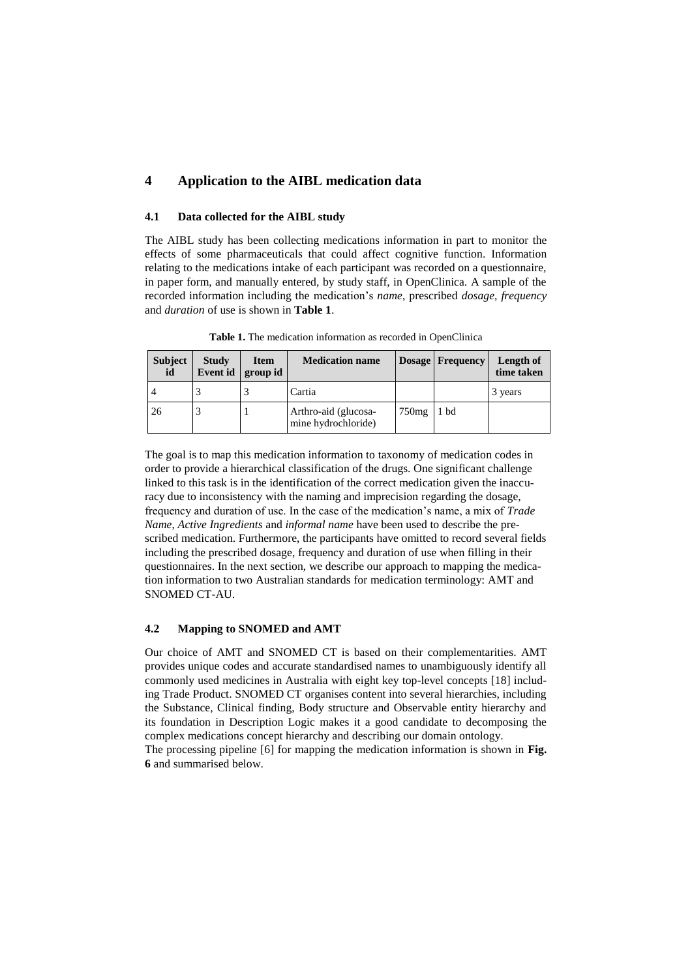# **4 Application to the AIBL medication data**

#### **4.1 Data collected for the AIBL study**

The AIBL study has been collecting medications information in part to monitor the effects of some pharmaceuticals that could affect cognitive function. Information relating to the medications intake of each participant was recorded on a questionnaire, in paper form, and manually entered, by study staff, in OpenClinica. A sample of the recorded information including the medication's *name*, prescribed *dosage*, *frequency* and *duration* of use is shown in **[Table 1](#page-7-0)**.

<span id="page-7-0"></span>

| <b>Subject</b><br>id | <b>Study</b><br>Event id | <b>Item</b><br>group id | <b>Medication name</b>                      |       | <b>Dosage Frequency</b> | Length of<br>time taken |
|----------------------|--------------------------|-------------------------|---------------------------------------------|-------|-------------------------|-------------------------|
|                      |                          |                         | Cartia                                      |       |                         | 3 years                 |
| 26                   |                          |                         | Arthro-aid (glucosa-<br>mine hydrochloride) | 750mg | 1 bd                    |                         |

**Table 1.** The medication information as recorded in OpenClinica

The goal is to map this medication information to taxonomy of medication codes in order to provide a hierarchical classification of the drugs. One significant challenge linked to this task is in the identification of the correct medication given the inaccuracy due to inconsistency with the naming and imprecision regarding the dosage, frequency and duration of use. In the case of the medication's name, a mix of *Trade Name*, *Active Ingredients* and *informal name* have been used to describe the prescribed medication. Furthermore, the participants have omitted to record several fields including the prescribed dosage, frequency and duration of use when filling in their questionnaires. In the next section, we describe our approach to mapping the medication information to two Australian standards for medication terminology: AMT and SNOMED CT-AU.

#### **4.2 Mapping to SNOMED and AMT**

Our choice of AMT and SNOMED CT is based on their complementarities. AMT provides unique codes and accurate standardised names to unambiguously identify all commonly used medicines in Australia with eight key top-level concepts [18] including Trade Product. SNOMED CT organises content into several hierarchies, including the Substance, Clinical finding, Body structure and Observable entity hierarchy and its foundation in Description Logic makes it a good candidate to decomposing the complex medications concept hierarchy and describing our domain ontology.

The processing pipeline [6] for mapping the medication information is shown in **[Fig.](#page-8-0)  [6](#page-8-0)** and summarised below.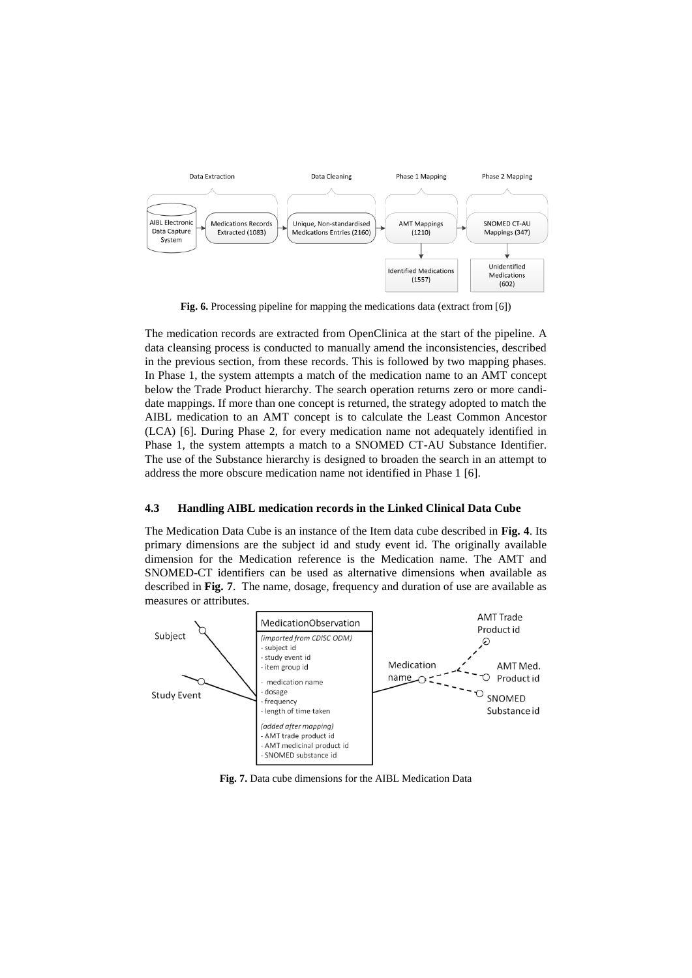

**Fig. 6.** Processing pipeline for mapping the medications data (extract from [6])

<span id="page-8-0"></span>The medication records are extracted from OpenClinica at the start of the pipeline. A data cleansing process is conducted to manually amend the inconsistencies, described in the previous section, from these records. This is followed by two mapping phases. In Phase 1, the system attempts a match of the medication name to an AMT concept below the Trade Product hierarchy. The search operation returns zero or more candidate mappings. If more than one concept is returned, the strategy adopted to match the AIBL medication to an AMT concept is to calculate the Least Common Ancestor (LCA) [6]. During Phase 2, for every medication name not adequately identified in Phase 1, the system attempts a match to a SNOMED CT-AU Substance Identifier. The use of the Substance hierarchy is designed to broaden the search in an attempt to address the more obscure medication name not identified in Phase 1 [6].

#### **4.3 Handling AIBL medication records in the Linked Clinical Data Cube**

The Medication Data Cube is an instance of the Item data cube described in **[Fig. 4](#page-5-0)**. Its primary dimensions are the subject id and study event id. The originally available dimension for the Medication reference is the Medication name. The AMT and SNOMED-CT identifiers can be used as alternative dimensions when available as described in **[Fig. 7](#page-8-1)**. The name, dosage, frequency and duration of use are available as measures or attributes.



<span id="page-8-1"></span>**Fig. 7.** Data cube dimensions for the AIBL Medication Data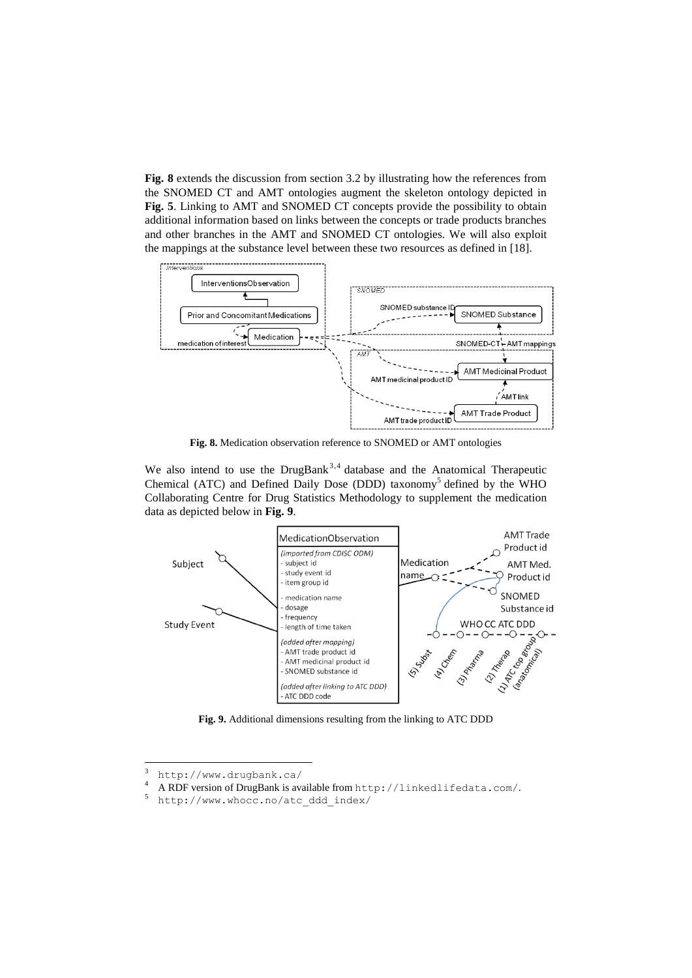**[Fig. 8](#page-9-0)** extends the discussion from section 3.2 by illustrating how the references from the SNOMED CT and AMT ontologies augment the skeleton ontology depicted in **[Fig. 5](#page-6-0)**. Linking to AMT and SNOMED CT concepts provide the possibility to obtain additional information based on links between the concepts or trade products branches and other branches in the AMT and SNOMED CT ontologies. We will also exploit the mappings at the substance level between these two resources as defined in [18].



**Fig. 8.** Medication observation reference to SNOMED or AMT ontologies

<span id="page-9-0"></span>We also intend to use the  $DrugBank<sup>3,4</sup>$  database and the Anatomical Therapeutic Chemical (ATC) and Defined Daily Dose (DDD) taxonomy<sup>5</sup> defined by the WHO Collaborating Centre for Drug Statistics Methodology to supplement the medication data as depicted below in **[Fig. 9](#page-9-1)**.



<span id="page-9-1"></span>**Fig. 9.** Additional dimensions resulting from the linking to ATC DDD

 $\overline{3}$  $3$  http://www.drugbank.ca/

<sup>4</sup> A RDF version of DrugBank is available from <http://linkedlifedata.com/>.

<sup>5</sup> http://www.whocc.no/atc\_ddd\_index/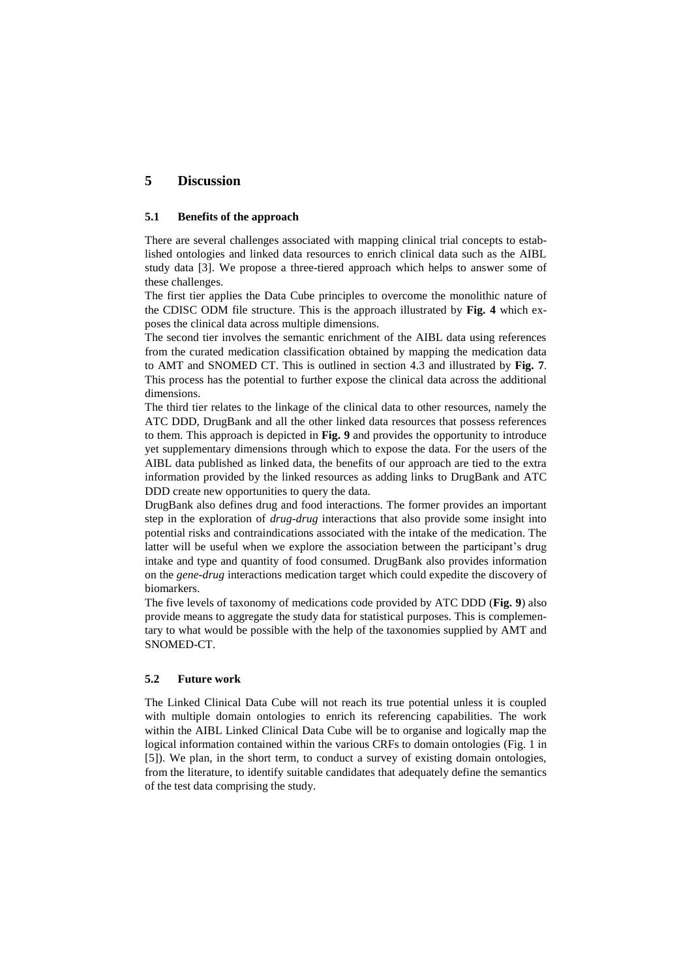# **5 Discussion**

### **5.1 Benefits of the approach**

There are several challenges associated with mapping clinical trial concepts to established ontologies and linked data resources to enrich clinical data such as the AIBL study data [3]. We propose a three-tiered approach which helps to answer some of these challenges.

The first tier applies the Data Cube principles to overcome the monolithic nature of the CDISC ODM file structure. This is the approach illustrated by **[Fig. 4](#page-5-0)** which exposes the clinical data across multiple dimensions.

The second tier involves the semantic enrichment of the AIBL data using references from the curated medication classification obtained by mapping the medication data to AMT and SNOMED CT. This is outlined in section 4.3 and illustrated by **[Fig. 7](#page-8-1)**. This process has the potential to further expose the clinical data across the additional dimensions.

The third tier relates to the linkage of the clinical data to other resources, namely the ATC DDD, DrugBank and all the other linked data resources that possess references to them. This approach is depicted in **[Fig. 9](#page-9-1)** and provides the opportunity to introduce yet supplementary dimensions through which to expose the data. For the users of the AIBL data published as linked data, the benefits of our approach are tied to the extra information provided by the linked resources as adding links to DrugBank and ATC DDD create new opportunities to query the data.

DrugBank also defines drug and food interactions. The former provides an important step in the exploration of *drug-drug* interactions that also provide some insight into potential risks and contraindications associated with the intake of the medication. The latter will be useful when we explore the association between the participant's drug intake and type and quantity of food consumed. DrugBank also provides information on the *gene-drug* interactions medication target which could expedite the discovery of biomarkers.

The five levels of taxonomy of medications code provided by ATC DDD (**[Fig. 9](#page-9-1)**) also provide means to aggregate the study data for statistical purposes. This is complementary to what would be possible with the help of the taxonomies supplied by AMT and SNOMED-CT.

#### **5.2 Future work**

The Linked Clinical Data Cube will not reach its true potential unless it is coupled with multiple domain ontologies to enrich its referencing capabilities. The work within the AIBL Linked Clinical Data Cube will be to organise and logically map the logical information contained within the various CRFs to domain ontologies (Fig. 1 in [5]). We plan, in the short term, to conduct a survey of existing domain ontologies, from the literature, to identify suitable candidates that adequately define the semantics of the test data comprising the study.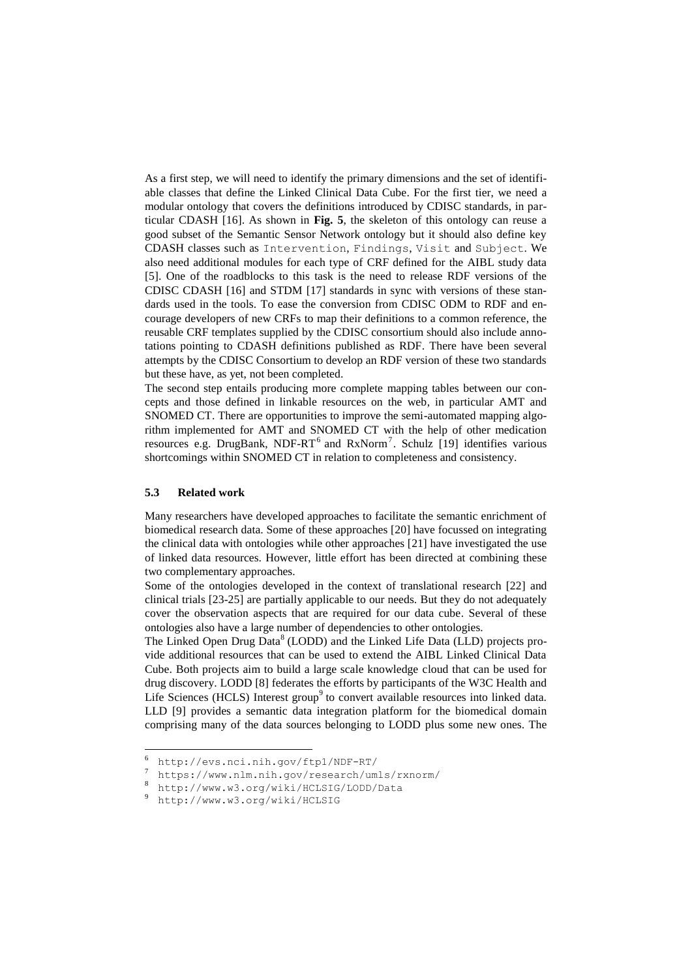As a first step, we will need to identify the primary dimensions and the set of identifiable classes that define the Linked Clinical Data Cube. For the first tier, we need a modular ontology that covers the definitions introduced by CDISC standards, in particular CDASH [16]. As shown in **[Fig. 5](#page-6-0)**, the skeleton of this ontology can reuse a good subset of the Semantic Sensor Network ontology but it should also define key CDASH classes such as Intervention, Findings, Visit and Subject. We also need additional modules for each type of CRF defined for the AIBL study data [5]. One of the roadblocks to this task is the need to release RDF versions of the CDISC CDASH [16] and STDM [17] standards in sync with versions of these standards used in the tools. To ease the conversion from CDISC ODM to RDF and encourage developers of new CRFs to map their definitions to a common reference, the reusable CRF templates supplied by the CDISC consortium should also include annotations pointing to CDASH definitions published as RDF. There have been several attempts by the CDISC Consortium to develop an RDF version of these two standards but these have, as yet, not been completed.

The second step entails producing more complete mapping tables between our concepts and those defined in linkable resources on the web, in particular AMT and SNOMED CT. There are opportunities to improve the semi-automated mapping algorithm implemented for AMT and SNOMED CT with the help of other medication resources e.g. DrugBank, NDF-RT<sup>6</sup> and RxNorm<sup>7</sup>. Schulz [19] identifies various shortcomings within SNOMED CT in relation to completeness and consistency.

### **5.3 Related work**

 $\overline{\phantom{a}}$ 

Many researchers have developed approaches to facilitate the semantic enrichment of biomedical research data. Some of these approaches [20] have focussed on integrating the clinical data with ontologies while other approaches [21] have investigated the use of linked data resources. However, little effort has been directed at combining these two complementary approaches.

Some of the ontologies developed in the context of translational research [22] and clinical trials [23-25] are partially applicable to our needs. But they do not adequately cover the observation aspects that are required for our data cube. Several of these ontologies also have a large number of dependencies to other ontologies.

The Linked Open Drug Data<sup>8</sup> (LODD) and the Linked Life Data (LLD) projects provide additional resources that can be used to extend the AIBL Linked Clinical Data Cube. Both projects aim to build a large scale knowledge cloud that can be used for drug discovery. LODD [8] federates the efforts by participants of the W3C Health and Life Sciences (HCLS) Interest group<sup>9</sup> to convert available resources into linked data. LLD [9] provides a semantic data integration platform for the biomedical domain comprising many of the data sources belonging to LODD plus some new ones. The

 $^{6}$  http://evs.nci.nih.gov/ftp1/NDF-RT/

<sup>7</sup> https://www.nlm.nih.gov/research/umls/rxnorm/

<sup>8</sup> http://www.w3.org/wiki/HCLSIG/LODD/Data

<sup>9</sup> <http://www.w3.org/wiki/HCLSIG>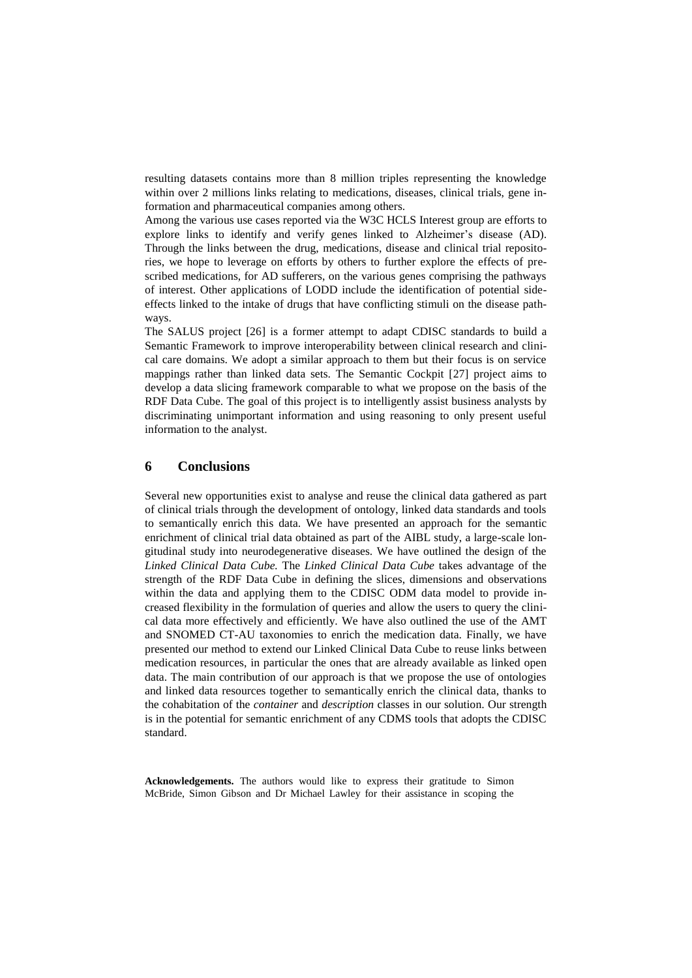resulting datasets contains more than 8 million triples representing the knowledge within over 2 millions links relating to medications, diseases, clinical trials, gene information and pharmaceutical companies among others.

Among the various use cases reported via the W3C HCLS Interest group are efforts to explore links to identify and verify genes linked to Alzheimer's disease (AD). Through the links between the drug, medications, disease and clinical trial repositories, we hope to leverage on efforts by others to further explore the effects of prescribed medications, for AD sufferers, on the various genes comprising the pathways of interest. Other applications of LODD include the identification of potential sideeffects linked to the intake of drugs that have conflicting stimuli on the disease pathways.

The SALUS project [26] is a former attempt to adapt CDISC standards to build a Semantic Framework to improve interoperability between clinical research and clinical care domains. We adopt a similar approach to them but their focus is on service mappings rather than linked data sets. The Semantic Cockpit [27] project aims to develop a data slicing framework comparable to what we propose on the basis of the RDF Data Cube. The goal of this project is to intelligently assist business analysts by discriminating unimportant information and using reasoning to only present useful information to the analyst.

## **6 Conclusions**

Several new opportunities exist to analyse and reuse the clinical data gathered as part of clinical trials through the development of ontology, linked data standards and tools to semantically enrich this data. We have presented an approach for the semantic enrichment of clinical trial data obtained as part of the AIBL study, a large-scale longitudinal study into neurodegenerative diseases. We have outlined the design of the *Linked Clinical Data Cube.* The *Linked Clinical Data Cube* takes advantage of the strength of the RDF Data Cube in defining the slices, dimensions and observations within the data and applying them to the CDISC ODM data model to provide increased flexibility in the formulation of queries and allow the users to query the clinical data more effectively and efficiently. We have also outlined the use of the AMT and SNOMED CT-AU taxonomies to enrich the medication data. Finally, we have presented our method to extend our Linked Clinical Data Cube to reuse links between medication resources, in particular the ones that are already available as linked open data. The main contribution of our approach is that we propose the use of ontologies and linked data resources together to semantically enrich the clinical data, thanks to the cohabitation of the *container* and *description* classes in our solution. Our strength is in the potential for semantic enrichment of any CDMS tools that adopts the CDISC standard.

**Acknowledgements.** The authors would like to express their gratitude to Simon McBride, Simon Gibson and Dr Michael Lawley for their assistance in scoping the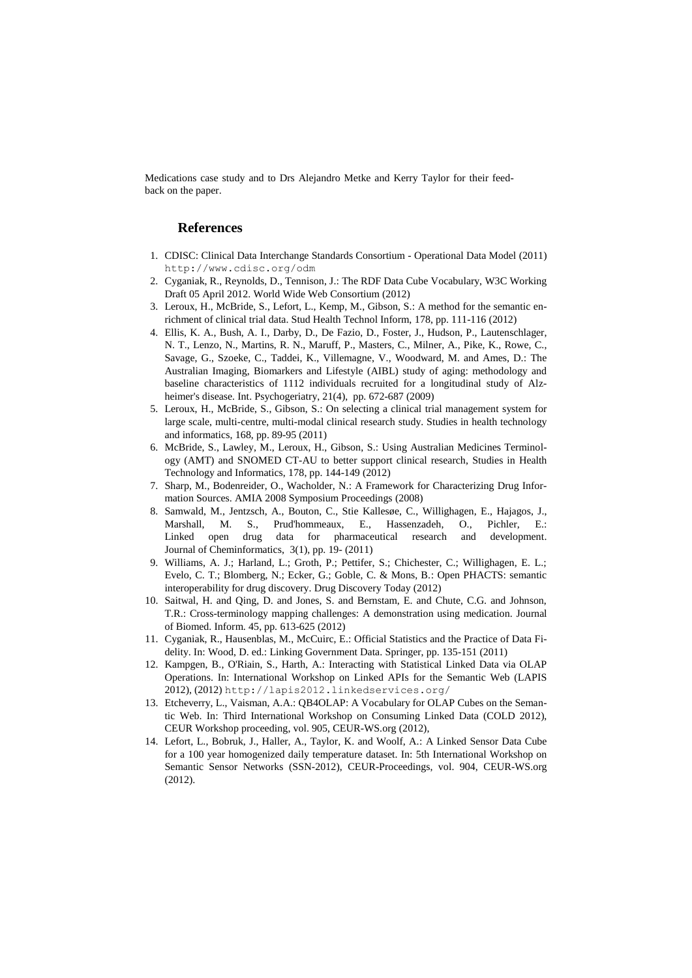Medications case study and to Drs Alejandro Metke and Kerry Taylor for their feedback on the paper.

### **References**

- 1. CDISC: Clinical Data Interchange Standards Consortium Operational Data Model (2011) <http://www.cdisc.org/odm>
- 2. Cyganiak, R., Reynolds, D., Tennison, J.: The RDF Data Cube Vocabulary, W3C Working Draft 05 April 2012. World Wide Web Consortium (2012)
- 3. Leroux, H., McBride, S., Lefort, L., Kemp, M., Gibson, S.: A method for the semantic enrichment of clinical trial data. Stud Health Technol Inform, 178, pp. 111-116 (2012)
- 4. Ellis, K. A., Bush, A. I., Darby, D., De Fazio, D., Foster, J., Hudson, P., Lautenschlager, N. T., Lenzo, N., Martins, R. N., Maruff, P., Masters, C., Milner, A., Pike, K., Rowe, C., Savage, G., Szoeke, C., Taddei, K., Villemagne, V., Woodward, M. and Ames, D.: The Australian Imaging, Biomarkers and Lifestyle (AIBL) study of aging: methodology and baseline characteristics of 1112 individuals recruited for a longitudinal study of Alzheimer's disease. Int. Psychogeriatry, 21(4), pp. 672-687 (2009)
- 5. Leroux, H., McBride, S., Gibson, S.: On selecting a clinical trial management system for large scale, multi-centre, multi-modal clinical research study. Studies in health technology and informatics, 168, pp. 89-95 (2011)
- 6. McBride, S., Lawley, M., Leroux, H., Gibson, S.: Using Australian Medicines Terminology (AMT) and SNOMED CT-AU to better support clinical research, Studies in Health Technology and Informatics, 178, pp. 144-149 (2012)
- 7. Sharp, M., Bodenreider, O., Wacholder, N.: A Framework for Characterizing Drug Information Sources. AMIA 2008 Symposium Proceedings (2008)
- 8. Samwald, M., Jentzsch, A., Bouton, C., Stie Kallesøe, C., Willighagen, E., Hajagos, J., Marshall, M. S., Prud'hommeaux, E., Hassenzadeh, O., Pichler, E.: Linked open drug data for pharmaceutical research and development. Journal of Cheminformatics, 3(1), pp. 19- (2011)
- 9. Williams, A. J.; Harland, L.; Groth, P.; Pettifer, S.; Chichester, C.; Willighagen, E. L.; Evelo, C. T.; Blomberg, N.; Ecker, G.; Goble, C. & Mons, B.: Open PHACTS: semantic interoperability for drug discovery. Drug Discovery Today (2012)
- 10. Saitwal, H. and Qing, D. and Jones, S. and Bernstam, E. and Chute, C.G. and Johnson, T.R.: Cross-terminology mapping challenges: A demonstration using medication. Journal of Biomed. Inform. 45, pp. 613-625 (2012)
- 11. Cyganiak, R., Hausenblas, M., McCuirc, E.: Official Statistics and the Practice of Data Fidelity. In: Wood, D. ed.: Linking Government Data. Springer, pp. 135-151 (2011)
- 12. Kampgen, B., O'Riain, S., Harth, A.: Interacting with Statistical Linked Data via OLAP Operations. In: International Workshop on Linked APIs for the Semantic Web (LAPIS 2012), (2012) <http://lapis2012.linkedservices.org/>
- 13. Etcheverry, L., Vaisman, A.A.: QB4OLAP: A Vocabulary for OLAP Cubes on the Semantic Web. In: Third International Workshop on Consuming Linked Data (COLD 2012), CEUR Workshop proceeding, vol. 905, CEUR-WS.org (2012),
- 14. Lefort, L., Bobruk, J., Haller, A., Taylor, K. and Woolf, A.: A Linked Sensor Data Cube for a 100 year homogenized daily temperature dataset. In: 5th International Workshop on Semantic Sensor Networks (SSN-2012), CEUR-Proceedings, vol. 904, CEUR-WS.org (2012).